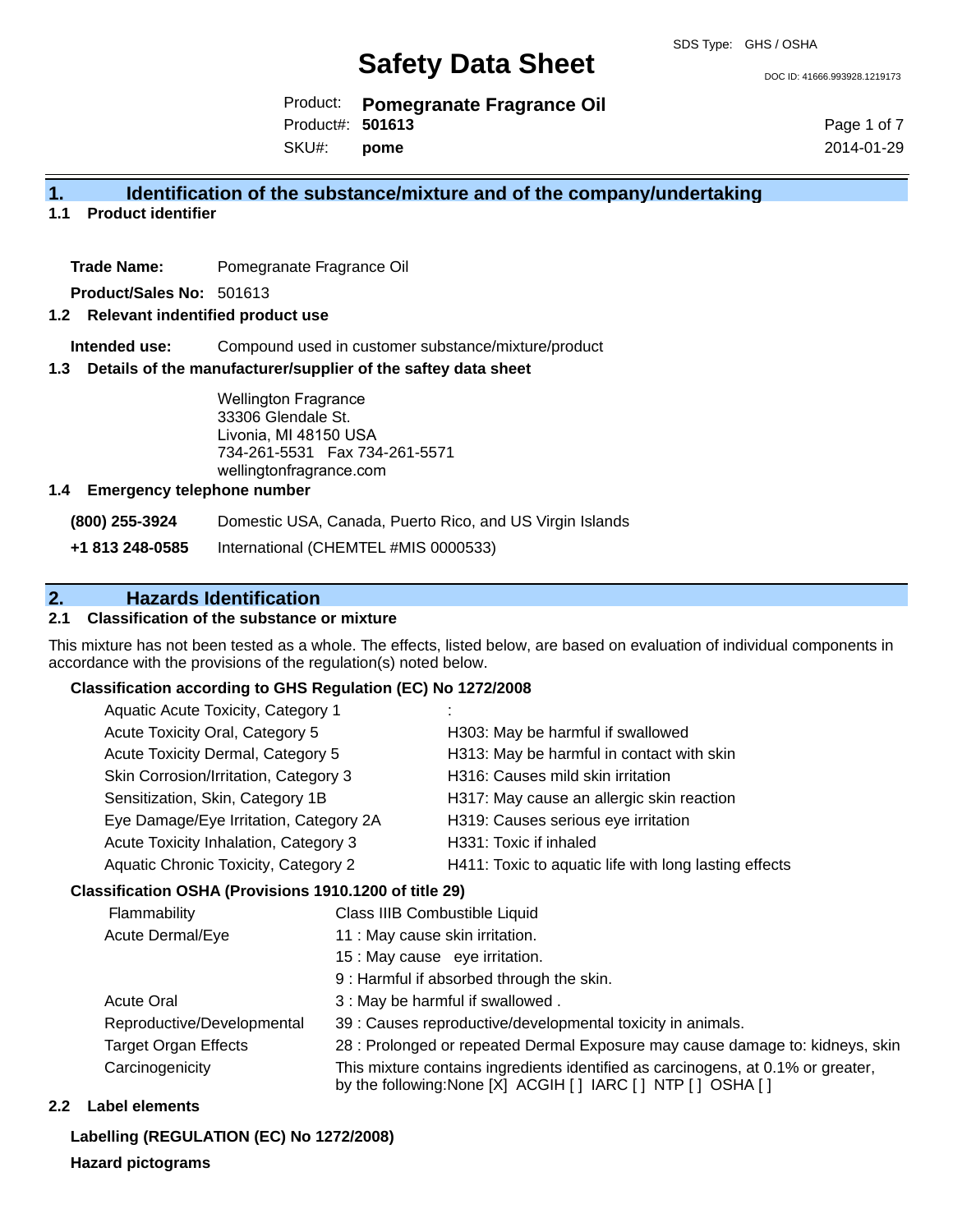DOC ID: 41666.993928.1219173

Product: **Pomegranate Fragrance Oil**

SKU#: Product#: **501613 pome**

Page 1 of 7 2014-01-29

### **1. Identification of the substance/mixture and of the company/undertaking**

**1.1 Product identifier**

**Trade Name:** Pomegranate Fragrance Oil

**Product/Sales No:** 501613

#### **1.2 Relevant indentified product use**

**Intended use:** Compound used in customer substance/mixture/product

#### **1.3 Details of the manufacturer/supplier of the saftey data sheet**

Wellington Fragrance 33306 Glendale St. Livonia, MI 48150 USA 734-261-5531 Fax 734-261-5571 wellingtonfragrance.com

#### **1.4 Emergency telephone number**

**(800) 255-3924** Domestic USA, Canada, Puerto Rico, and US Virgin Islands

**+1 813 248-0585** International (CHEMTEL #MIS 0000533)

## **2. Hazards Identification**

#### **2.1 Classification of the substance or mixture**

This mixture has not been tested as a whole. The effects, listed below, are based on evaluation of individual components in accordance with the provisions of the regulation(s) noted below.

#### **Classification according to GHS Regulation (EC) No 1272/2008**

| Aquatic Acute Toxicity, Category 1     |                                                       |
|----------------------------------------|-------------------------------------------------------|
| Acute Toxicity Oral, Category 5        | H303: May be harmful if swallowed                     |
| Acute Toxicity Dermal, Category 5      | H313: May be harmful in contact with skin             |
| Skin Corrosion/Irritation, Category 3  | H316: Causes mild skin irritation                     |
| Sensitization, Skin, Category 1B       | H317: May cause an allergic skin reaction             |
| Eye Damage/Eye Irritation, Category 2A | H319: Causes serious eye irritation                   |
| Acute Toxicity Inhalation, Category 3  | H331: Toxic if inhaled                                |
| Aquatic Chronic Toxicity, Category 2   | H411: Toxic to aquatic life with long lasting effects |
|                                        |                                                       |

#### **Classification OSHA (Provisions 1910.1200 of title 29)**

| <b>Flammability</b>         | Class IIIB Combustible Liquid                                                                                                                      |
|-----------------------------|----------------------------------------------------------------------------------------------------------------------------------------------------|
| Acute Dermal/Eye            | 11 : May cause skin irritation.                                                                                                                    |
|                             | 15 : May cause eye irritation.                                                                                                                     |
|                             | 9: Harmful if absorbed through the skin.                                                                                                           |
| <b>Acute Oral</b>           | 3 : May be harmful if swallowed.                                                                                                                   |
| Reproductive/Developmental  | 39 : Causes reproductive/developmental toxicity in animals.                                                                                        |
| <b>Target Organ Effects</b> | 28 : Prolonged or repeated Dermal Exposure may cause damage to: kidneys, skin                                                                      |
| Carcinogenicity             | This mixture contains ingredients identified as carcinogens, at 0.1% or greater,<br>by the following: None [X] ACGIH [ ] IARC [ ] NTP [ ] OSHA [ ] |

#### **2.2 Label elements**

**Labelling (REGULATION (EC) No 1272/2008)**

**Hazard pictograms**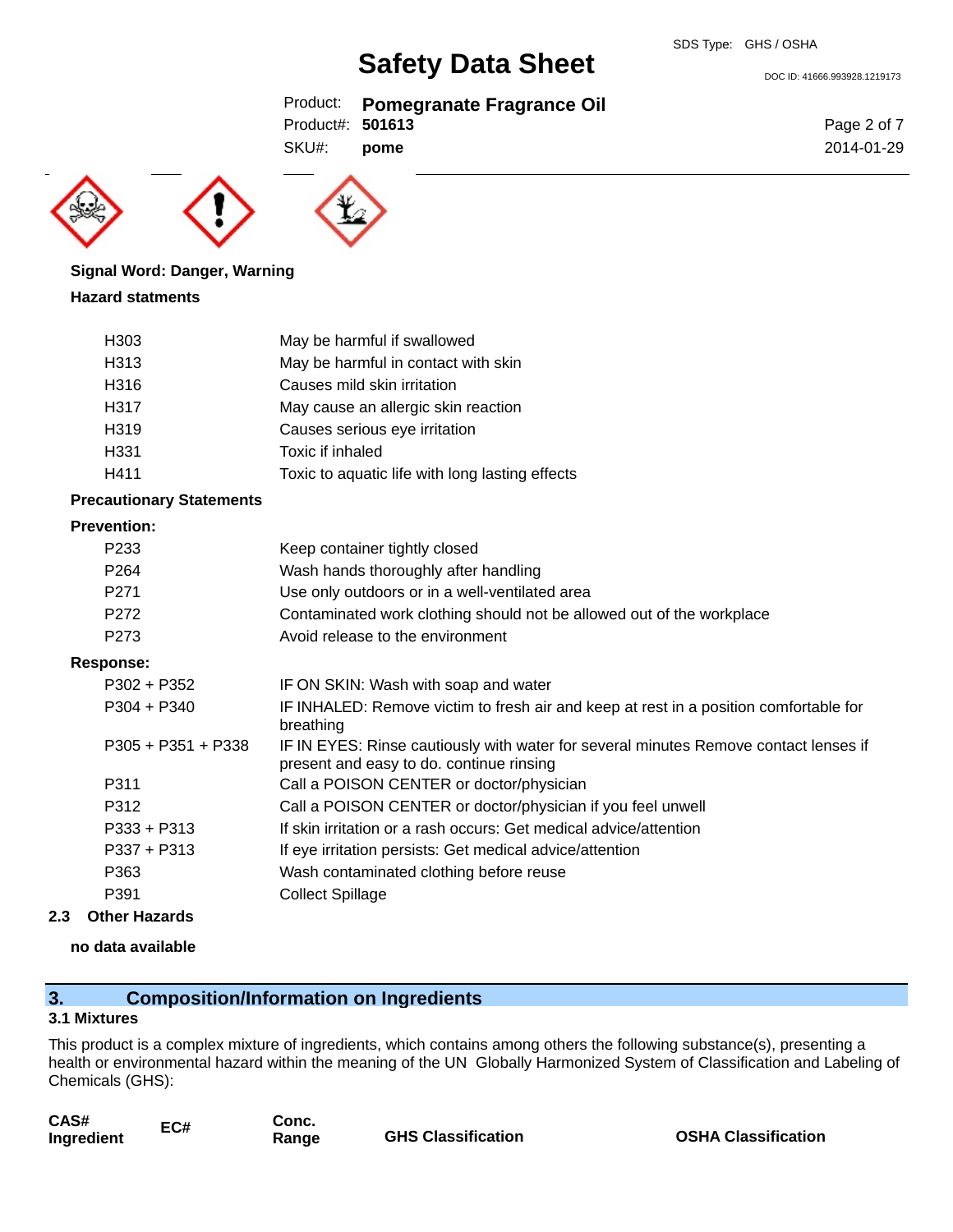DOC ID: 41666.993928.1219173

### Product: **Pomegranate Fragrance Oil**

Product#: **501613**

SKU#: **pome**





## **Signal Word: Danger, Warning**

#### **Hazard statments**

| H303             | May be harmful if swallowed                     |
|------------------|-------------------------------------------------|
| H313             | May be harmful in contact with skin             |
| H316             | Causes mild skin irritation                     |
| H317             | May cause an allergic skin reaction             |
| H <sub>319</sub> | Causes serious eye irritation                   |
| H <sub>331</sub> | Toxic if inhaled                                |
| H411             | Toxic to aquatic life with long lasting effects |

#### **Precautionary Statements**

#### **Prevention:**

| P <sub>233</sub> | Keep container tightly closed                                         |
|------------------|-----------------------------------------------------------------------|
| P <sub>264</sub> | Wash hands thoroughly after handling                                  |
| P <sub>271</sub> | Use only outdoors or in a well-ventilated area                        |
| P <sub>272</sub> | Contaminated work clothing should not be allowed out of the workplace |
| P273             | Avoid release to the environment                                      |

#### **Response:**

| $P302 + P352$        | IF ON SKIN: Wash with soap and water                                                                                             |
|----------------------|----------------------------------------------------------------------------------------------------------------------------------|
| $P304 + P340$        | IF INHALED: Remove victim to fresh air and keep at rest in a position comfortable for<br>breathing                               |
| $P305 + P351 + P338$ | IF IN EYES: Rinse cautiously with water for several minutes Remove contact lenses if<br>present and easy to do. continue rinsing |
| P311                 | Call a POISON CENTER or doctor/physician                                                                                         |
| P312                 | Call a POISON CENTER or doctor/physician if you feel unwell                                                                      |
| $P333 + P313$        | If skin irritation or a rash occurs: Get medical advice/attention                                                                |
| $P337 + P313$        | If eye irritation persists: Get medical advice/attention                                                                         |
| P363                 | Wash contaminated clothing before reuse                                                                                          |
| P391                 | <b>Collect Spillage</b>                                                                                                          |
|                      |                                                                                                                                  |

#### **2.3 Other Hazards**

#### **no data available**

## **3. Composition/Information on Ingredients**

#### **3.1 Mixtures**

This product is a complex mixture of ingredients, which contains among others the following substance(s), presenting a health or environmental hazard within the meaning of the UN Globally Harmonized System of Classification and Labeling of Chemicals (GHS):

| CAS#       | EC# | Conc. |                           |
|------------|-----|-------|---------------------------|
| Ingredient |     | Range | <b>GHS Classification</b> |

**OSHA Classification** 

Page 2 of 7 2014-01-29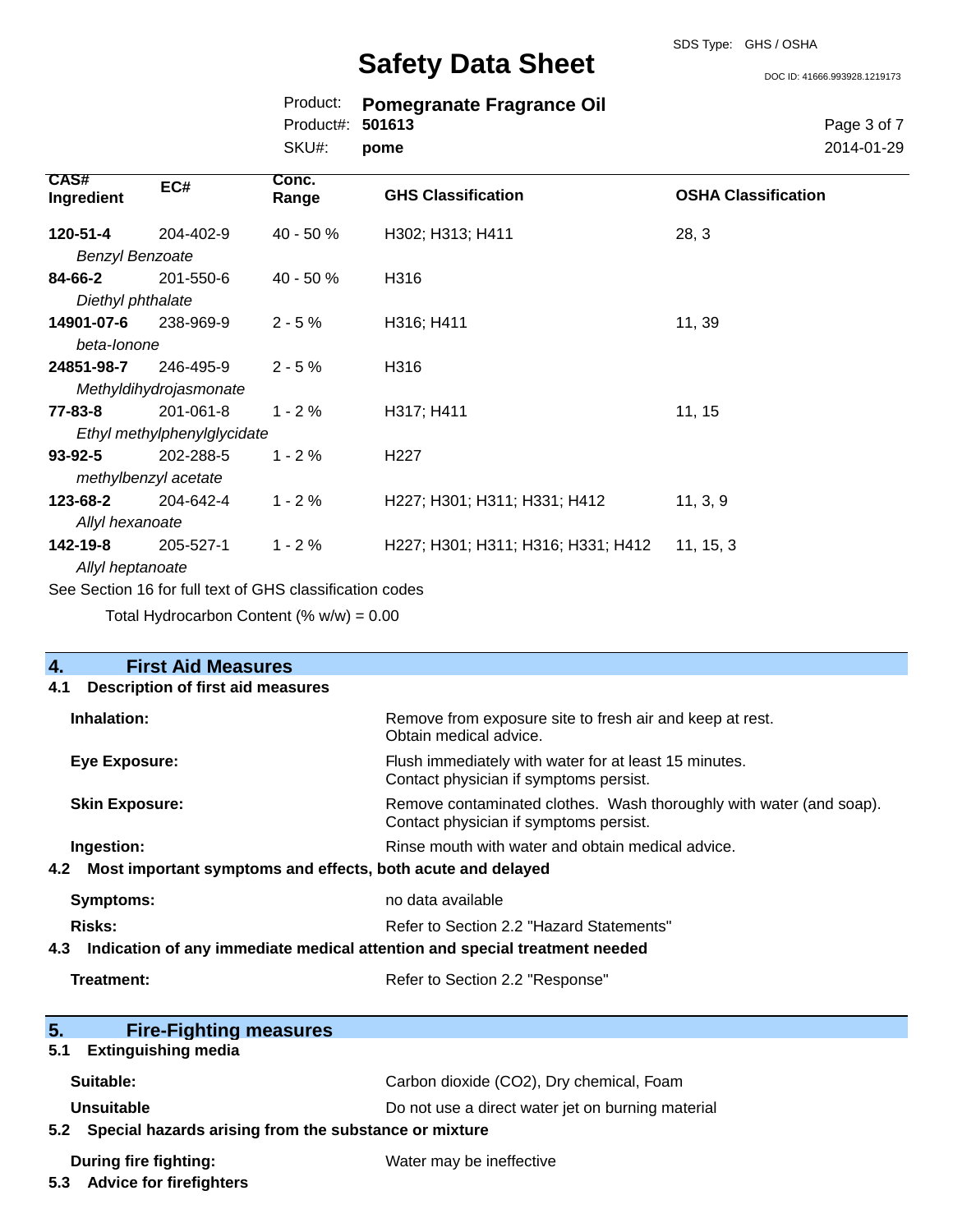DOC ID: 41666.993928.1219173

|                  | Product: Pomegranate Fragrance Oil |
|------------------|------------------------------------|
| Product#: 501613 |                                    |
| SKU#: pome       |                                    |
|                  |                                    |

Page 3 of 7 2014-01-29

| <b>CAS#</b><br>Ingredient | EC#                                                      | Conc.<br>Range | <b>GHS Classification</b>          | <b>OSHA Classification</b> |
|---------------------------|----------------------------------------------------------|----------------|------------------------------------|----------------------------|
| 120-51-4                  | 204-402-9                                                | 40 - 50 %      | H302; H313; H411                   | 28, 3                      |
| <b>Benzyl Benzoate</b>    |                                                          |                |                                    |                            |
| 84-66-2                   | 201-550-6                                                | $40 - 50%$     | H316                               |                            |
| Diethyl phthalate         |                                                          |                |                                    |                            |
| 14901-07-6                | 238-969-9                                                | $2 - 5%$       | H316; H411                         | 11, 39                     |
| beta-lonone               |                                                          |                |                                    |                            |
| 24851-98-7                | 246-495-9                                                | $2 - 5%$       | H316                               |                            |
|                           | Methyldihydrojasmonate                                   |                |                                    |                            |
| 77-83-8                   | 201-061-8                                                | $1 - 2%$       | H317; H411                         | 11, 15                     |
|                           | Ethyl methylphenylglycidate                              |                |                                    |                            |
| $93 - 92 - 5$             | 202-288-5                                                | $1 - 2%$       | H <sub>22</sub> 7                  |                            |
|                           | methylbenzyl acetate                                     |                |                                    |                            |
| 123-68-2                  | 204-642-4                                                | $1 - 2%$       | H227; H301; H311; H331; H412       | 11, 3, 9                   |
| Allyl hexanoate           |                                                          |                |                                    |                            |
| 142-19-8                  | 205-527-1                                                | $1 - 2%$       | H227; H301; H311; H316; H331; H412 | 11, 15, 3                  |
| Allyl heptanoate          |                                                          |                |                                    |                            |
|                           | See Section 16 for full text of GHS classification codes |                |                                    |                            |

Total Hydrocarbon Content  $(\% w/w) = 0.00$ 

| $\overline{4}$ .<br><b>First Aid Measures</b>                                     |                                                                                                               |
|-----------------------------------------------------------------------------------|---------------------------------------------------------------------------------------------------------------|
| <b>Description of first aid measures</b><br>4.1                                   |                                                                                                               |
| Inhalation:                                                                       | Remove from exposure site to fresh air and keep at rest.<br>Obtain medical advice.                            |
| <b>Eye Exposure:</b>                                                              | Flush immediately with water for at least 15 minutes.<br>Contact physician if symptoms persist.               |
| <b>Skin Exposure:</b>                                                             | Remove contaminated clothes. Wash thoroughly with water (and soap).<br>Contact physician if symptoms persist. |
| Ingestion:                                                                        | Rinse mouth with water and obtain medical advice.                                                             |
| Most important symptoms and effects, both acute and delayed<br>4.2                |                                                                                                               |
| <b>Symptoms:</b>                                                                  | no data available                                                                                             |
| <b>Risks:</b>                                                                     | Refer to Section 2.2 "Hazard Statements"                                                                      |
| Indication of any immediate medical attention and special treatment needed<br>4.3 |                                                                                                               |
| Treatment:                                                                        | Refer to Section 2.2 "Response"                                                                               |
| 5.<br><b>Fire-Fighting measures</b>                                               |                                                                                                               |
| <b>Extinguishing media</b><br>5.1                                                 |                                                                                                               |
| Suitable:                                                                         | Carbon dioxide (CO2), Dry chemical, Foam                                                                      |
| <b>Unsuitable</b>                                                                 | Do not use a direct water jet on burning material                                                             |
| 5.2 Special hazards arising from the substance or mixture                         |                                                                                                               |
| <b>During fire fighting:</b><br>5.3 Advice for firefighters                       | Water may be ineffective                                                                                      |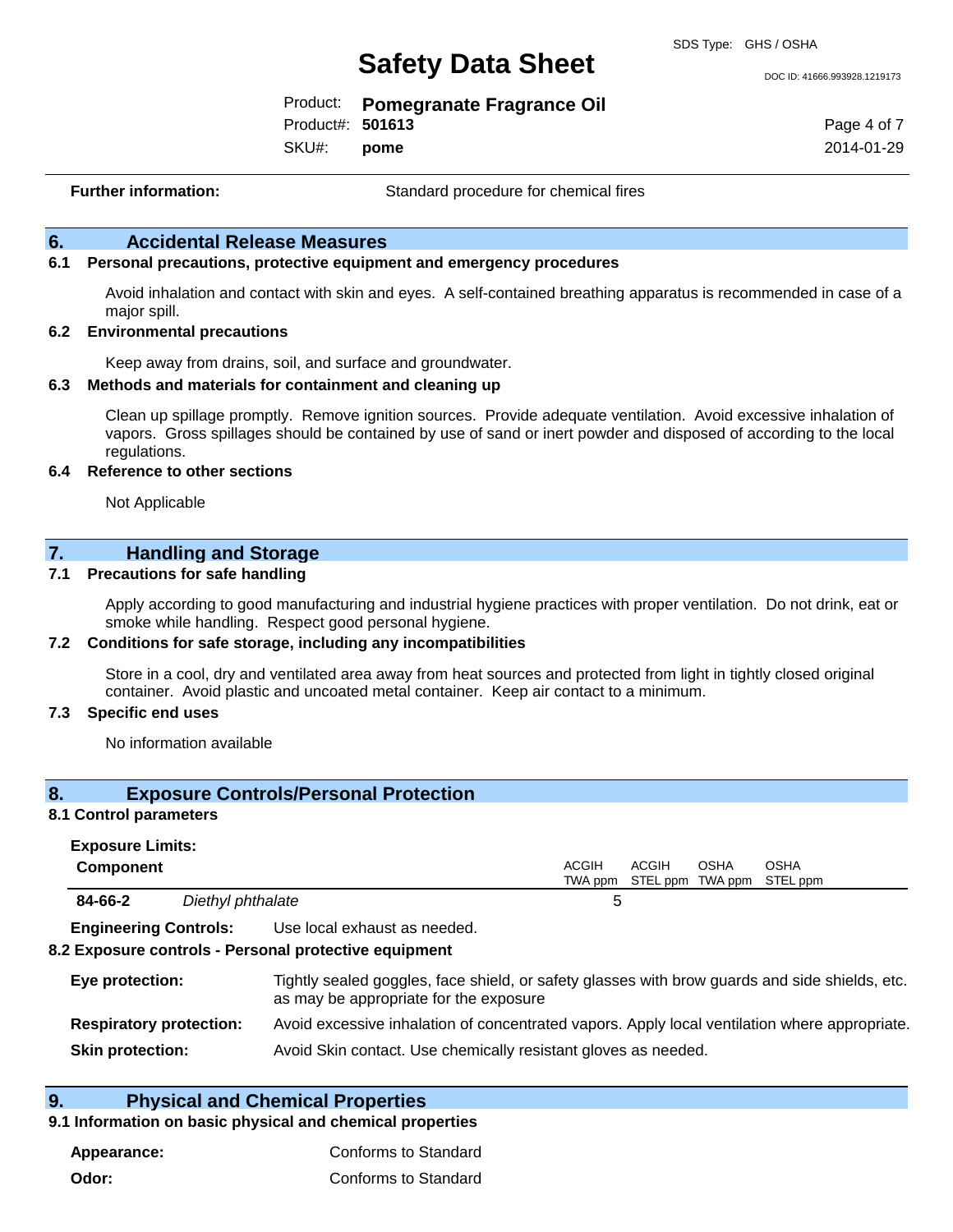DOC ID: 41666.993928.1219173

| Product:         | <b>Pomegranate Fragrance Oil</b> |
|------------------|----------------------------------|
| Product#: 501613 |                                  |

SKU#: **pome** Page 4 of 7 2014-01-29

**Further information:** Standard procedure for chemical fires

#### **6. Accidental Release Measures**

#### **6.1 Personal precautions, protective equipment and emergency procedures**

Avoid inhalation and contact with skin and eyes. A self-contained breathing apparatus is recommended in case of a major spill.

#### **6.2 Environmental precautions**

Keep away from drains, soil, and surface and groundwater.

#### **6.3 Methods and materials for containment and cleaning up**

Clean up spillage promptly. Remove ignition sources. Provide adequate ventilation. Avoid excessive inhalation of vapors. Gross spillages should be contained by use of sand or inert powder and disposed of according to the local regulations.

#### **6.4 Reference to other sections**

Not Applicable

#### **7. Handling and Storage**

#### **7.1 Precautions for safe handling**

Apply according to good manufacturing and industrial hygiene practices with proper ventilation. Do not drink, eat or smoke while handling. Respect good personal hygiene.

#### **7.2 Conditions for safe storage, including any incompatibilities**

Store in a cool, dry and ventilated area away from heat sources and protected from light in tightly closed original container. Avoid plastic and uncoated metal container. Keep air contact to a minimum.

#### **7.3 Specific end uses**

No information available

#### **8. Exposure Controls/Personal Protection**

#### **8.1 Control parameters**

| <b>Exposure Limits:</b>      |  |                              |       |                                            |             |             |  |
|------------------------------|--|------------------------------|-------|--------------------------------------------|-------------|-------------|--|
| <b>Component</b>             |  |                              | ACGIH | ACGIH<br>TWA ppm STEL ppm TWA ppm STEL ppm | <b>OSHA</b> | <b>OSHA</b> |  |
| 84-66-2<br>Diethyl phthalate |  | ∽                            |       |                                            |             |             |  |
| <b>Engineering Controls:</b> |  | Use local exhaust as needed. |       |                                            |             |             |  |

#### **8.2 Exposure controls - Personal protective equipment**

| Eye protection:                | Tightly sealed goggles, face shield, or safety glasses with brow guards and side shields, etc.<br>as may be appropriate for the exposure |
|--------------------------------|------------------------------------------------------------------------------------------------------------------------------------------|
| <b>Respiratory protection:</b> | Avoid excessive inhalation of concentrated vapors. Apply local ventilation where appropriate.                                            |
| <b>Skin protection:</b>        | Avoid Skin contact. Use chemically resistant gloves as needed.                                                                           |

#### **9. Physical and Chemical Properties**

#### **9.1 Information on basic physical and chemical properties**

| Appearance: | Conforms to Standard |
|-------------|----------------------|
| Odor:       | Conforms to Standard |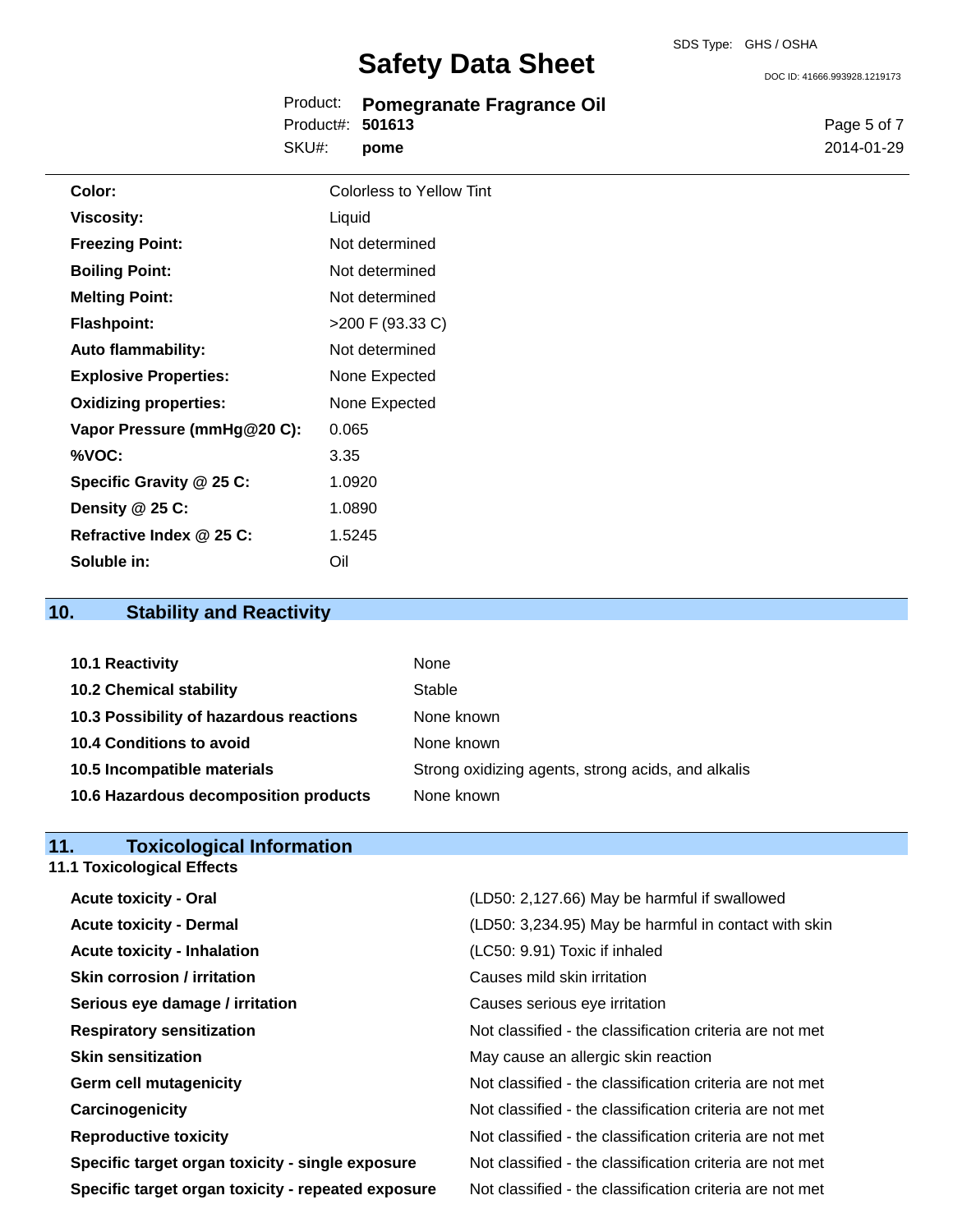Product: **Pomegranate Fragrance Oil** SKU#: Product#: **501613 pome**

DOC ID: 41666.993928.1219173

Page 5 of 7 2014-01-29

| Color:                       | <b>Colorless to Yellow Tint</b> |
|------------------------------|---------------------------------|
| <b>Viscosity:</b>            | Liquid                          |
| <b>Freezing Point:</b>       | Not determined                  |
| <b>Boiling Point:</b>        | Not determined                  |
| <b>Melting Point:</b>        | Not determined                  |
| <b>Flashpoint:</b>           | >200 F (93.33 C)                |
| <b>Auto flammability:</b>    | Not determined                  |
| <b>Explosive Properties:</b> | None Expected                   |
| <b>Oxidizing properties:</b> | None Expected                   |
| Vapor Pressure (mmHg@20 C):  | 0.065                           |
| %VOC:                        | 3.35                            |
| Specific Gravity @ 25 C:     | 1.0920                          |
| Density @ 25 C:              | 1.0890                          |
| Refractive Index @ 25 C:     | 1.5245                          |
| Soluble in:                  | Oil                             |

## **10. Stability and Reactivity**

| 10.1 Reactivity                         | None                                               |
|-----------------------------------------|----------------------------------------------------|
| <b>10.2 Chemical stability</b>          | Stable                                             |
| 10.3 Possibility of hazardous reactions | None known                                         |
| 10.4 Conditions to avoid                | None known                                         |
| 10.5 Incompatible materials             | Strong oxidizing agents, strong acids, and alkalis |
| 10.6 Hazardous decomposition products   | None known                                         |

#### **11. Toxicological Information 11.1 Toxicological Effects**

| <b>Acute toxicity - Oral</b>                       | (LD50: 2,127.66) May be harmful if swallowed             |
|----------------------------------------------------|----------------------------------------------------------|
| <b>Acute toxicity - Dermal</b>                     | (LD50: 3,234.95) May be harmful in contact with skin     |
| <b>Acute toxicity - Inhalation</b>                 | (LC50: 9.91) Toxic if inhaled                            |
| <b>Skin corrosion / irritation</b>                 | Causes mild skin irritation                              |
| Serious eye damage / irritation                    | Causes serious eye irritation                            |
| <b>Respiratory sensitization</b>                   | Not classified - the classification criteria are not met |
| <b>Skin sensitization</b>                          | May cause an allergic skin reaction                      |
| <b>Germ cell mutagenicity</b>                      | Not classified - the classification criteria are not met |
| Carcinogenicity                                    | Not classified - the classification criteria are not met |
| <b>Reproductive toxicity</b>                       | Not classified - the classification criteria are not met |
| Specific target organ toxicity - single exposure   | Not classified - the classification criteria are not met |
| Specific target organ toxicity - repeated exposure | Not classified - the classification criteria are not met |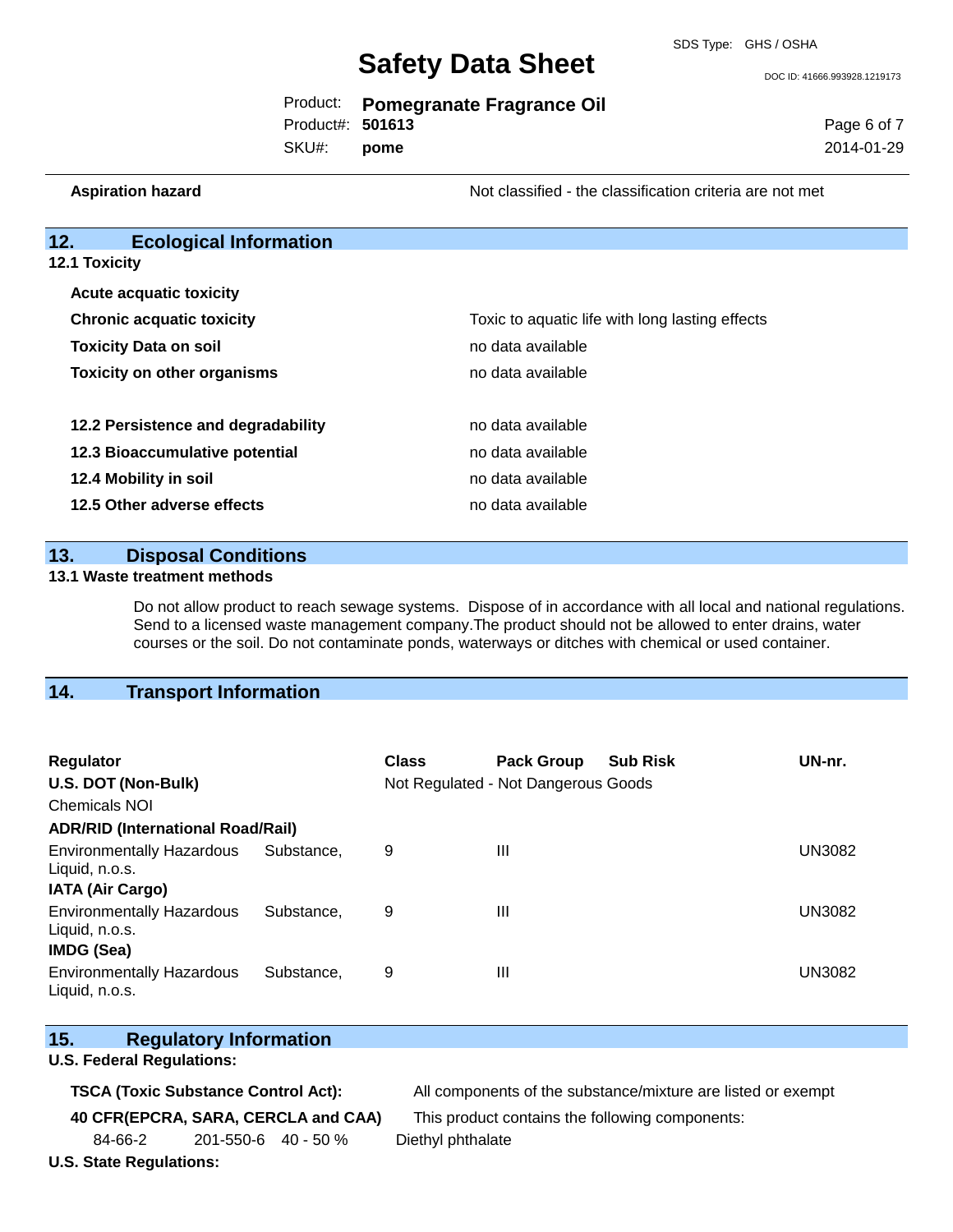DOC ID: 41666.993928.1219173

Page 6 of 7 2014-01-29

|                  | Product: Pomegranate Fragrance Oil |
|------------------|------------------------------------|
| Product#: 501613 |                                    |
|                  |                                    |

SKU#: **pome**

**Aspiration hazard Not classified - the classification criteria are not met** Not classified - the classification criteria are not met

#### **12. Ecological Information**

**12.1 Toxicity**

| <b>Acute acquatic toxicity</b>     |                                                 |
|------------------------------------|-------------------------------------------------|
| <b>Chronic acquatic toxicity</b>   | Toxic to aquatic life with long lasting effects |
| <b>Toxicity Data on soil</b>       | no data available                               |
| <b>Toxicity on other organisms</b> | no data available                               |
|                                    |                                                 |
| 12.2 Persistence and degradability | no data available                               |
| 12.3 Bioaccumulative potential     | no data available                               |
| 12.4 Mobility in soil              | no data available                               |
| 12.5 Other adverse effects         | no data available                               |

#### **13. Disposal Conditions**

#### **13.1 Waste treatment methods**

Do not allow product to reach sewage systems. Dispose of in accordance with all local and national regulations. Send to a licensed waste management company.The product should not be allowed to enter drains, water courses or the soil. Do not contaminate ponds, waterways or ditches with chemical or used container.

#### **14. Transport Information**

| <b>Regulator</b>                                                        |            | <b>Class</b> | <b>Pack Group</b>                   | <b>Sub Risk</b> | UN-nr.        |
|-------------------------------------------------------------------------|------------|--------------|-------------------------------------|-----------------|---------------|
| U.S. DOT (Non-Bulk)                                                     |            |              | Not Regulated - Not Dangerous Goods |                 |               |
| <b>Chemicals NOI</b>                                                    |            |              |                                     |                 |               |
| <b>ADR/RID (International Road/Rail)</b>                                |            |              |                                     |                 |               |
| <b>Environmentally Hazardous</b><br>Liquid, n.o.s.                      | Substance. | 9            | Ш                                   |                 | <b>UN3082</b> |
| <b>IATA (Air Cargo)</b>                                                 |            |              |                                     |                 |               |
| <b>Environmentally Hazardous</b><br>Liquid, n.o.s.<br><b>IMDG (Sea)</b> | Substance. | 9            | $\mathbf{III}$                      |                 | <b>UN3082</b> |
| <b>Environmentally Hazardous</b><br>Liquid, n.o.s.                      | Substance. | 9            | Ш                                   |                 | <b>UN3082</b> |

### **15. Regulatory Information**

#### **U.S. Federal Regulations:**

**TSCA (Toxic Substance Control Act):** All components of the substance/mixture are listed or exempt

**40 CFR(EPCRA, SARA, CERCLA and CAA)** This product contains the following components:

84-66-2 201-550-6 40 - 50 % Diethyl phthalate

**U.S. State Regulations:**